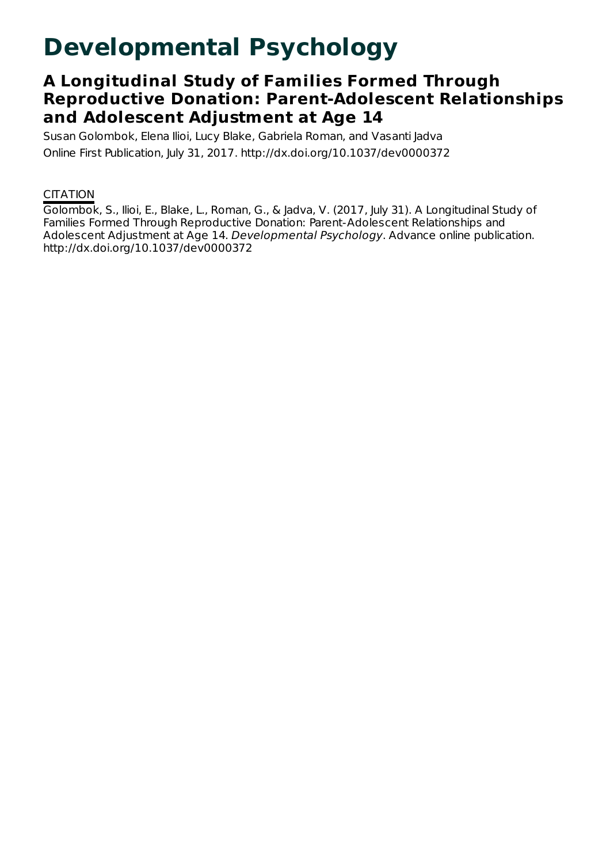# **Developmental Psychology**

## **A Longitudinal Study of Families Formed Through Reproductive Donation: Parent-Adolescent Relationships and Adolescent Adjustment at Age 14**

Susan Golombok, Elena Ilioi, Lucy Blake, Gabriela Roman, and Vasanti Jadva Online First Publication, July 31, 2017. http://dx.doi.org/10.1037/dev0000372

### **CITATION**

Golombok, S., Ilioi, E., Blake, L., Roman, G., & Jadva, V. (2017, July 31). A Longitudinal Study of Families Formed Through Reproductive Donation: Parent-Adolescent Relationships and Adolescent Adjustment at Age 14. Developmental Psychology. Advance online publication. http://dx.doi.org/10.1037/dev0000372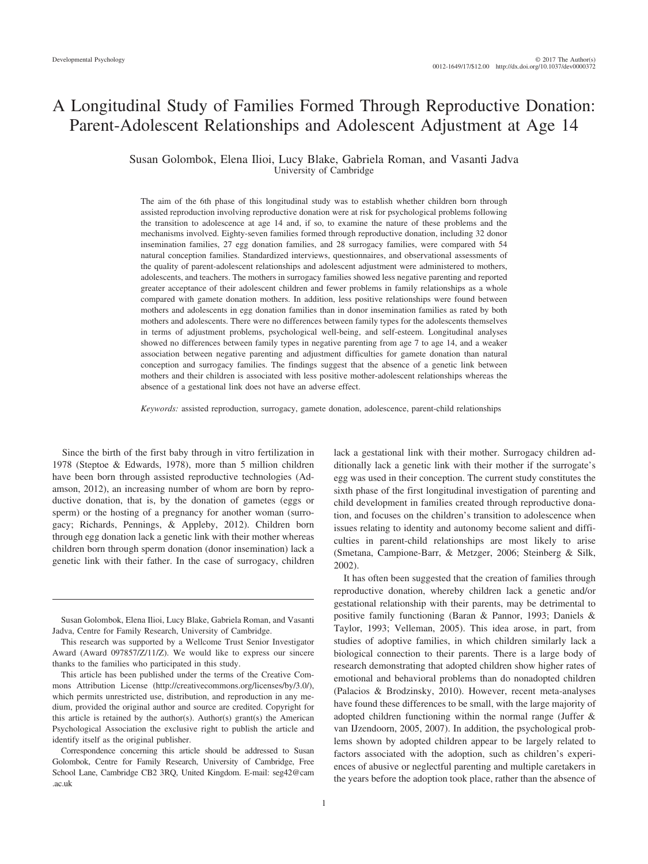### A Longitudinal Study of Families Formed Through Reproductive Donation: Parent-Adolescent Relationships and Adolescent Adjustment at Age 14

#### Susan Golombok, Elena Ilioi, Lucy Blake, Gabriela Roman, and Vasanti Jadva University of Cambridge

The aim of the 6th phase of this longitudinal study was to establish whether children born through assisted reproduction involving reproductive donation were at risk for psychological problems following the transition to adolescence at age 14 and, if so, to examine the nature of these problems and the mechanisms involved. Eighty-seven families formed through reproductive donation, including 32 donor insemination families, 27 egg donation families, and 28 surrogacy families, were compared with 54 natural conception families. Standardized interviews, questionnaires, and observational assessments of the quality of parent-adolescent relationships and adolescent adjustment were administered to mothers, adolescents, and teachers. The mothers in surrogacy families showed less negative parenting and reported greater acceptance of their adolescent children and fewer problems in family relationships as a whole compared with gamete donation mothers. In addition, less positive relationships were found between mothers and adolescents in egg donation families than in donor insemination families as rated by both mothers and adolescents. There were no differences between family types for the adolescents themselves in terms of adjustment problems, psychological well-being, and self-esteem. Longitudinal analyses showed no differences between family types in negative parenting from age 7 to age 14, and a weaker association between negative parenting and adjustment difficulties for gamete donation than natural conception and surrogacy families. The findings suggest that the absence of a genetic link between mothers and their children is associated with less positive mother-adolescent relationships whereas the absence of a gestational link does not have an adverse effect.

*Keywords:* assisted reproduction, surrogacy, gamete donation, adolescence, parent-child relationships

Since the birth of the first baby through in vitro fertilization in 1978 (Steptoe & Edwards, 1978), more than 5 million children have been born through assisted reproductive technologies (Adamson, 2012), an increasing number of whom are born by reproductive donation, that is, by the donation of gametes (eggs or sperm) or the hosting of a pregnancy for another woman (surrogacy; Richards, Pennings, & Appleby, 2012). Children born through egg donation lack a genetic link with their mother whereas children born through sperm donation (donor insemination) lack a genetic link with their father. In the case of surrogacy, children

lack a gestational link with their mother. Surrogacy children additionally lack a genetic link with their mother if the surrogate's egg was used in their conception. The current study constitutes the sixth phase of the first longitudinal investigation of parenting and child development in families created through reproductive donation, and focuses on the children's transition to adolescence when issues relating to identity and autonomy become salient and difficulties in parent-child relationships are most likely to arise (Smetana, Campione-Barr, & Metzger, 2006; Steinberg & Silk, 2002).

It has often been suggested that the creation of families through reproductive donation, whereby children lack a genetic and/or gestational relationship with their parents, may be detrimental to positive family functioning (Baran & Pannor, 1993; Daniels & Taylor, 1993; Velleman, 2005). This idea arose, in part, from studies of adoptive families, in which children similarly lack a biological connection to their parents. There is a large body of research demonstrating that adopted children show higher rates of emotional and behavioral problems than do nonadopted children (Palacios & Brodzinsky, 2010). However, recent meta-analyses have found these differences to be small, with the large majority of adopted children functioning within the normal range (Juffer & van IJzendoorn, 2005, 2007). In addition, the psychological problems shown by adopted children appear to be largely related to factors associated with the adoption, such as children's experiences of abusive or neglectful parenting and multiple caretakers in the years before the adoption took place, rather than the absence of

Susan Golombok, Elena Ilioi, Lucy Blake, Gabriela Roman, and Vasanti Jadva, Centre for Family Research, University of Cambridge.

This research was supported by a Wellcome Trust Senior Investigator Award (Award 097857/Z/11/Z). We would like to express our sincere thanks to the families who participated in this study.

This article has been published under the terms of the Creative Commons Attribution License [\(http://creativecommons.org/licenses/by/3.0/\)](http://creativecommons.org/licenses/by/3.0/), which permits unrestricted use, distribution, and reproduction in any medium, provided the original author and source are credited. Copyright for this article is retained by the author(s). Author(s) grant(s) the American Psychological Association the exclusive right to publish the article and identify itself as the original publisher.

Correspondence concerning this article should be addressed to Susan Golombok, Centre for Family Research, University of Cambridge, Free School Lane, Cambridge CB2 3RQ, United Kingdom. E-mail: [seg42@cam](mailto:seg42@cam.ac.uk) [.ac.uk](mailto:seg42@cam.ac.uk)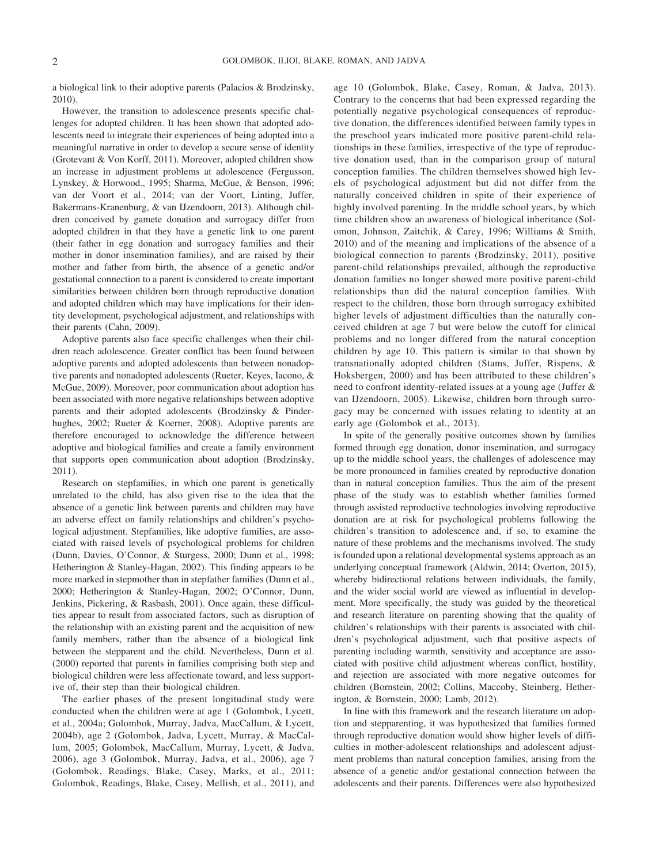a biological link to their adoptive parents (Palacios & Brodzinsky, 2010).

However, the transition to adolescence presents specific challenges for adopted children. It has been shown that adopted adolescents need to integrate their experiences of being adopted into a meaningful narrative in order to develop a secure sense of identity (Grotevant & Von Korff, 2011). Moreover, adopted children show an increase in adjustment problems at adolescence (Fergusson, Lynskey, & Horwood., 1995; Sharma, McGue, & Benson, 1996; van der Voort et al., 2014; van der Voort, Linting, Juffer, Bakermans-Kranenburg, & van IJzendoorn, 2013). Although children conceived by gamete donation and surrogacy differ from adopted children in that they have a genetic link to one parent (their father in egg donation and surrogacy families and their mother in donor insemination families), and are raised by their mother and father from birth, the absence of a genetic and/or gestational connection to a parent is considered to create important similarities between children born through reproductive donation and adopted children which may have implications for their identity development, psychological adjustment, and relationships with their parents [\(Cahn, 2009\)](#page-11-0).

Adoptive parents also face specific challenges when their children reach adolescence. Greater conflict has been found between adoptive parents and adopted adolescents than between nonadoptive parents and nonadopted adolescents (Rueter, Keyes, Iacono, & McGue, 2009). Moreover, poor communication about adoption has been associated with more negative relationships between adoptive parents and their adopted adolescents (Brodzinsky & Pinder-hughes, 2002; [Rueter & Koerner, 2008\)](#page-12-0). Adoptive parents are therefore encouraged to acknowledge the difference between adoptive and biological families and create a family environment that supports open communication about adoption (Brodzinsky, 2011).

Research on stepfamilies, in which one parent is genetically unrelated to the child, has also given rise to the idea that the absence of a genetic link between parents and children may have an adverse effect on family relationships and children's psychological adjustment. Stepfamilies, like adoptive families, are associated with raised levels of psychological problems for children (Dunn, Davies, O'Connor, & Sturgess, 2000; Dunn et al., 1998; Hetherington & Stanley-Hagan, 2002). This finding appears to be more marked in stepmother than in stepfather families (Dunn et al., 2000; Hetherington & Stanley-Hagan, 2002; O'Connor, Dunn, Jenkins, Pickering, & Rasbash, 2001). Once again, these difficulties appear to result from associated factors, such as disruption of the relationship with an existing parent and the acquisition of new family members, rather than the absence of a biological link between the stepparent and the child. Nevertheless, Dunn et al. (2000) reported that parents in families comprising both step and biological children were less affectionate toward, and less supportive of, their step than their biological children.

The earlier phases of the present longitudinal study were conducted when the children were at age 1 (Golombok, Lycett, et al., 2004a; Golombok, Murray, Jadva, MacCallum, & Lycett, 2004b), age 2 (Golombok, Jadva, Lycett, Murray, & MacCallum, 2005; Golombok, MacCallum, Murray, Lycett, & Jadva, 2006), age 3 (Golombok, Murray, Jadva, et al., 2006), age 7 (Golombok, Readings, Blake, Casey, Marks, et al., 2011; Golombok, Readings, Blake, Casey, Mellish, et al., 2011), and age 10 (Golombok, Blake, Casey, Roman, & Jadva, 2013). Contrary to the concerns that had been expressed regarding the potentially negative psychological consequences of reproductive donation, the differences identified between family types in the preschool years indicated more positive parent-child relationships in these families, irrespective of the type of reproductive donation used, than in the comparison group of natural conception families. The children themselves showed high levels of psychological adjustment but did not differ from the naturally conceived children in spite of their experience of highly involved parenting. In the middle school years, by which time children show an awareness of biological inheritance (Solomon, Johnson, Zaitchik, & Carey, 1996; Williams & Smith, 2010) and of the meaning and implications of the absence of a biological connection to parents (Brodzinsky, 2011), positive parent-child relationships prevailed, although the reproductive donation families no longer showed more positive parent-child relationships than did the natural conception families. With respect to the children, those born through surrogacy exhibited higher levels of adjustment difficulties than the naturally conceived children at age 7 but were below the cutoff for clinical problems and no longer differed from the natural conception children by age 10. This pattern is similar to that shown by transnationally adopted children (Stams, Juffer, Rispens, & Hoksbergen, 2000) and has been attributed to these children's need to confront identity-related issues at a young age (Juffer & van IJzendoorn, 2005). Likewise, children born through surrogacy may be concerned with issues relating to identity at an early age (Golombok et al., 2013).

In spite of the generally positive outcomes shown by families formed through egg donation, donor insemination, and surrogacy up to the middle school years, the challenges of adolescence may be more pronounced in families created by reproductive donation than in natural conception families. Thus the aim of the present phase of the study was to establish whether families formed through assisted reproductive technologies involving reproductive donation are at risk for psychological problems following the children's transition to adolescence and, if so, to examine the nature of these problems and the mechanisms involved. The study is founded upon a relational developmental systems approach as an underlying conceptual framework (Aldwin, 2014; Overton, 2015), whereby bidirectional relations between individuals, the family, and the wider social world are viewed as influential in development. More specifically, the study was guided by the theoretical and research literature on parenting showing that the quality of children's relationships with their parents is associated with children's psychological adjustment, such that positive aspects of parenting including warmth, sensitivity and acceptance are associated with positive child adjustment whereas conflict, hostility, and rejection are associated with more negative outcomes for children (Bornstein, 2002; Collins, Maccoby, Steinberg, Hetherington, & Bornstein, 2000; Lamb, 2012).

In line with this framework and the research literature on adoption and stepparenting, it was hypothesized that families formed through reproductive donation would show higher levels of difficulties in mother-adolescent relationships and adolescent adjustment problems than natural conception families, arising from the absence of a genetic and/or gestational connection between the adolescents and their parents. Differences were also hypothesized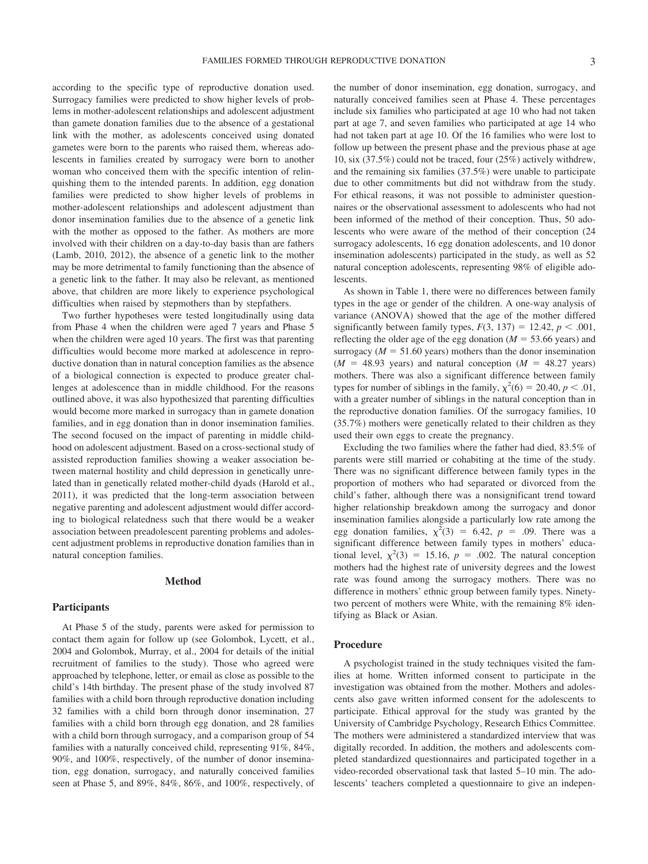according to the specific type of reproductive donation used. Surrogacy families were predicted to show higher levels of problems in mother-adolescent relationships and adolescent adjustment than gamete donation families due to the absence of a gestational link with the mother, as adolescents conceived using donated gametes were born to the parents who raised them, whereas adolescents in families created by surrogacy were born to another woman who conceived them with the specific intention of relinquishing them to the intended parents. In addition, egg donation families were predicted to show higher levels of problems in mother-adolescent relationships and adolescent adjustment than donor insemination families due to the absence of a genetic link with the mother as opposed to the father. As mothers are more involved with their children on a day-to-day basis than are fathers (Lamb, 2010, 2012), the absence of a genetic link to the mother may be more detrimental to family functioning than the absence of a genetic link to the father. It may also be relevant, as mentioned above, that children are more likely to experience psychological difficulties when raised by stepmothers than by stepfathers.

Two further hypotheses were tested longitudinally using data from Phase 4 when the children were aged 7 years and Phase 5 when the children were aged 10 years. The first was that parenting difficulties would become more marked at adolescence in reproductive donation than in natural conception families as the absence of a biological connection is expected to produce greater challenges at adolescence than in middle childhood. For the reasons outlined above, it was also hypothesized that parenting difficulties would become more marked in surrogacy than in gamete donation families, and in egg donation than in donor insemination families. The second focused on the impact of parenting in middle childhood on adolescent adjustment. Based on a cross-sectional study of assisted reproduction families showing a weaker association between maternal hostility and child depression in genetically unrelated than in genetically related mother-child dyads (Harold et al., 2011), it was predicted that the long-term association between negative parenting and adolescent adjustment would differ according to biological relatedness such that there would be a weaker association between preadolescent parenting problems and adolescent adjustment problems in reproductive donation families than in natural conception families.

#### **Method**

#### **Participants**

At Phase 5 of the study, parents were asked for permission to contact them again for follow up (see Golombok, Lycett, et al., 2004 and Golombok, Murray, et al., 2004 for details of the initial recruitment of families to the study). Those who agreed were approached by telephone, letter, or email as close as possible to the child's 14th birthday. The present phase of the study involved 87 families with a child born through reproductive donation including 32 families with a child born through donor insemination, 27 families with a child born through egg donation, and 28 families with a child born through surrogacy, and a comparison group of 54 families with a naturally conceived child, representing 91%, 84%, 90%, and 100%, respectively, of the number of donor insemination, egg donation, surrogacy, and naturally conceived families seen at Phase 5, and 89%, 84%, 86%, and 100%, respectively, of the number of donor insemination, egg donation, surrogacy, and naturally conceived families seen at Phase 4. These percentages include six families who participated at age 10 who had not taken part at age 7, and seven families who participated at age 14 who had not taken part at age 10. Of the 16 families who were lost to follow up between the present phase and the previous phase at age 10, six (37.5%) could not be traced, four (25%) actively withdrew, and the remaining six families (37.5%) were unable to participate due to other commitments but did not withdraw from the study. For ethical reasons, it was not possible to administer questionnaires or the observational assessment to adolescents who had not been informed of the method of their conception. Thus, 50 adolescents who were aware of the method of their conception (24 surrogacy adolescents, 16 egg donation adolescents, and 10 donor insemination adolescents) participated in the study, as well as 52 natural conception adolescents, representing 98% of eligible ado**lescents** 

As shown in Table 1, there were no differences between family types in the age or gender of the children. A one-way analysis of variance (ANOVA) showed that the age of the mother differed significantly between family types,  $F(3, 137) = 12.42$ ,  $p < .001$ , reflecting the older age of the egg donation  $(M = 53.66 \text{ years})$  and surrogacy  $(M = 51.60$  years) mothers than the donor insemination  $(M = 48.93 \text{ years})$  and natural conception  $(M = 48.27 \text{ years})$ mothers. There was also a significant difference between family types for number of siblings in the family,  $\chi^2(6) = 20.40, p < .01$ , with a greater number of siblings in the natural conception than in the reproductive donation families. Of the surrogacy families, 10 (35.7%) mothers were genetically related to their children as they used their own eggs to create the pregnancy.

Excluding the two families where the father had died, 83.5% of parents were still married or cohabiting at the time of the study. There was no significant difference between family types in the proportion of mothers who had separated or divorced from the child's father, although there was a nonsignificant trend toward higher relationship breakdown among the surrogacy and donor insemination families alongside a particularly low rate among the egg donation families,  $\chi^2(3) = 6.42$ ,  $p = .09$ . There was a significant difference between family types in mothers' educational level,  $\chi^2(3) = 15.16$ ,  $p = .002$ . The natural conception mothers had the highest rate of university degrees and the lowest rate was found among the surrogacy mothers. There was no difference in mothers' ethnic group between family types. Ninetytwo percent of mothers were White, with the remaining 8% identifying as Black or Asian.

#### **Procedure**

A psychologist trained in the study techniques visited the families at home. Written informed consent to participate in the investigation was obtained from the mother. Mothers and adolescents also gave written informed consent for the adolescents to participate. Ethical approval for the study was granted by the University of Cambridge Psychology, Research Ethics Committee. The mothers were administered a standardized interview that was digitally recorded. In addition, the mothers and adolescents completed standardized questionnaires and participated together in a video-recorded observational task that lasted 5–10 min. The adolescents' teachers completed a questionnaire to give an indepen-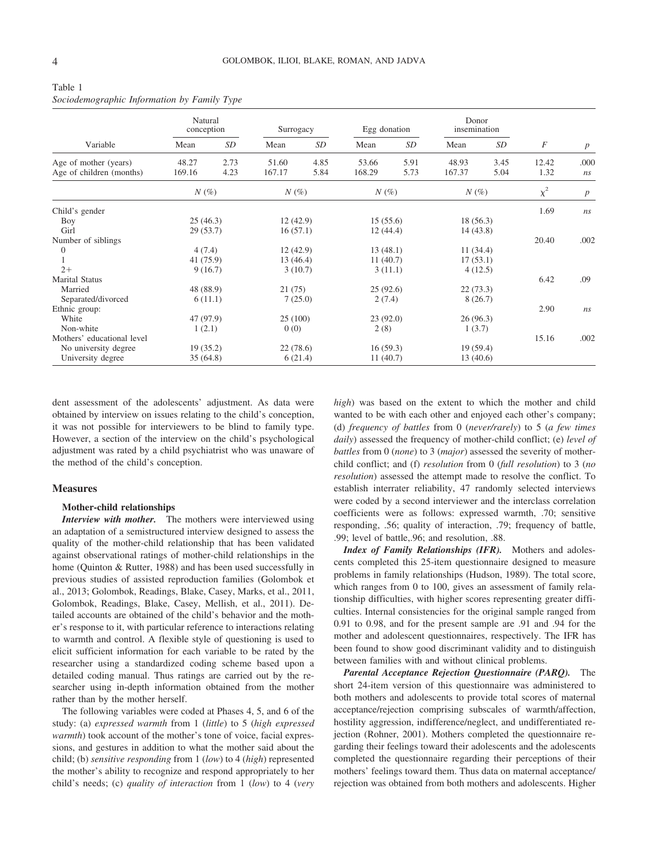|                                                   | Natural<br>conception |              | Surrogacy       |              | Egg donation    |              | Donor<br>insemination |              |               |                  |
|---------------------------------------------------|-----------------------|--------------|-----------------|--------------|-----------------|--------------|-----------------------|--------------|---------------|------------------|
| Variable                                          | Mean                  | SD           | Mean            | SD           | Mean            | SD           | Mean                  | SD           | F             | $\boldsymbol{p}$ |
| Age of mother (years)<br>Age of children (months) | 48.27<br>169.16       | 2.73<br>4.23 | 51.60<br>167.17 | 4.85<br>5.84 | 53.66<br>168.29 | 5.91<br>5.73 | 48.93<br>167.37       | 3.45<br>5.04 | 12.42<br>1.32 | .000<br>ns       |
|                                                   | $N(\%)$               |              | $N(\%)$         |              | $N(\%)$         |              | $N(\%)$               |              | $\chi^2$      | $\boldsymbol{p}$ |
| Child's gender                                    |                       |              |                 |              |                 |              |                       |              | 1.69          | ns               |
| Boy                                               | 25(46.3)              |              | 12(42.9)        |              | 15(55.6)        |              | 18(56.3)              |              |               |                  |
| Girl                                              | 29(53.7)              |              | 16(57.1)        |              | 12(44.4)        |              | 14 (43.8)             |              |               |                  |
| Number of siblings                                |                       |              |                 |              |                 |              |                       |              | 20.40         | .002             |
| $\theta$                                          | 4(7.4)                |              | 12(42.9)        |              | 13(48.1)        |              | 11(34.4)              |              |               |                  |
|                                                   | 41(75.9)              |              | 13(46.4)        |              | 11(40.7)        |              | 17(53.1)              |              |               |                  |
| $2+$                                              | 9(16.7)               |              | 3(10.7)         |              | 3(11.1)         |              | 4(12.5)               |              |               |                  |
| <b>Marital Status</b>                             |                       |              |                 |              |                 |              |                       |              | 6.42          | .09              |
| Married                                           | 48 (88.9)             |              | 21(75)          |              | 25(92.6)        |              | 22(73.3)              |              |               |                  |
| Separated/divorced                                | 6(11.1)               |              | 7(25.0)         |              | 2(7.4)          |              | 8(26.7)               |              |               |                  |
| Ethnic group:                                     |                       |              |                 |              |                 |              |                       |              | 2.90          | ns               |
| White                                             | 47 (97.9)             |              | 25(100)         |              | 23(92.0)        |              | 26(96.3)              |              |               |                  |
| Non-white                                         | 1(2.1)                |              | 0(0)            |              | 2(8)            |              | 1(3.7)                |              |               |                  |
| Mothers' educational level                        |                       |              |                 |              |                 |              |                       |              | 15.16         | .002             |
| No university degree                              | 19(35.2)              |              | 22(78.6)        |              | 16(59.3)        |              | 19(59.4)              |              |               |                  |
| University degree                                 | 35(64.8)              |              | 6(21.4)         |              | 11(40.7)        |              | 13(40.6)              |              |               |                  |

Table 1 *Sociodemographic Information by Family Type*

dent assessment of the adolescents' adjustment. As data were obtained by interview on issues relating to the child's conception, it was not possible for interviewers to be blind to family type. However, a section of the interview on the child's psychological adjustment was rated by a child psychiatrist who was unaware of the method of the child's conception.

#### **Measures**

#### **Mother-child relationships**

*Interview with mother.* The mothers were interviewed using an adaptation of a semistructured interview designed to assess the quality of the mother-child relationship that has been validated against observational ratings of mother-child relationships in the home (Quinton & Rutter, 1988) and has been used successfully in previous studies of assisted reproduction families (Golombok et al., 2013; Golombok, Readings, Blake, Casey, Marks, et al., 2011, Golombok, Readings, Blake, Casey, Mellish, et al., 2011). Detailed accounts are obtained of the child's behavior and the mother's response to it, with particular reference to interactions relating to warmth and control. A flexible style of questioning is used to elicit sufficient information for each variable to be rated by the researcher using a standardized coding scheme based upon a detailed coding manual. Thus ratings are carried out by the researcher using in-depth information obtained from the mother rather than by the mother herself.

The following variables were coded at Phases 4, 5, and 6 of the study: (a) *expressed warmth* from 1 (*little*) to 5 (*high expressed warmth*) took account of the mother's tone of voice, facial expressions, and gestures in addition to what the mother said about the child; (b) *sensitive responding* from 1 (*low*) to 4 (*high*) represented the mother's ability to recognize and respond appropriately to her child's needs; (c) *quality of interaction* from 1 (*low*) to 4 (*very*

*high*) was based on the extent to which the mother and child wanted to be with each other and enjoyed each other's company; (d) *frequency of battles* from 0 (*never/rarely*) to 5 (*a few times daily*) assessed the frequency of mother-child conflict; (e) *level of battles* from 0 (*none*) to 3 (*major*) assessed the severity of motherchild conflict; and (f) *resolution* from 0 (*full resolution*) to 3 (*no resolution*) assessed the attempt made to resolve the conflict. To establish interrater reliability, 47 randomly selected interviews were coded by a second interviewer and the interclass correlation coefficients were as follows: expressed warmth, .70; sensitive responding, .56; quality of interaction, .79; frequency of battle, .99; level of battle,.96; and resolution, .88.

*Index of Family Relationships (IFR).* Mothers and adolescents completed this 25-item questionnaire designed to measure problems in family relationships (Hudson, 1989). The total score, which ranges from 0 to 100, gives an assessment of family relationship difficulties, with higher scores representing greater difficulties. Internal consistencies for the original sample ranged from 0.91 to 0.98, and for the present sample are .91 and .94 for the mother and adolescent questionnaires, respectively. The IFR has been found to show good discriminant validity and to distinguish between families with and without clinical problems.

*Parental Acceptance Rejection Questionnaire (PARQ).* The short 24-item version of this questionnaire was administered to both mothers and adolescents to provide total scores of maternal acceptance/rejection comprising subscales of warmth/affection, hostility aggression, indifference/neglect, and undifferentiated rejection (Rohner, 2001). Mothers completed the questionnaire regarding their feelings toward their adolescents and the adolescents completed the questionnaire regarding their perceptions of their mothers' feelings toward them. Thus data on maternal acceptance/ rejection was obtained from both mothers and adolescents. Higher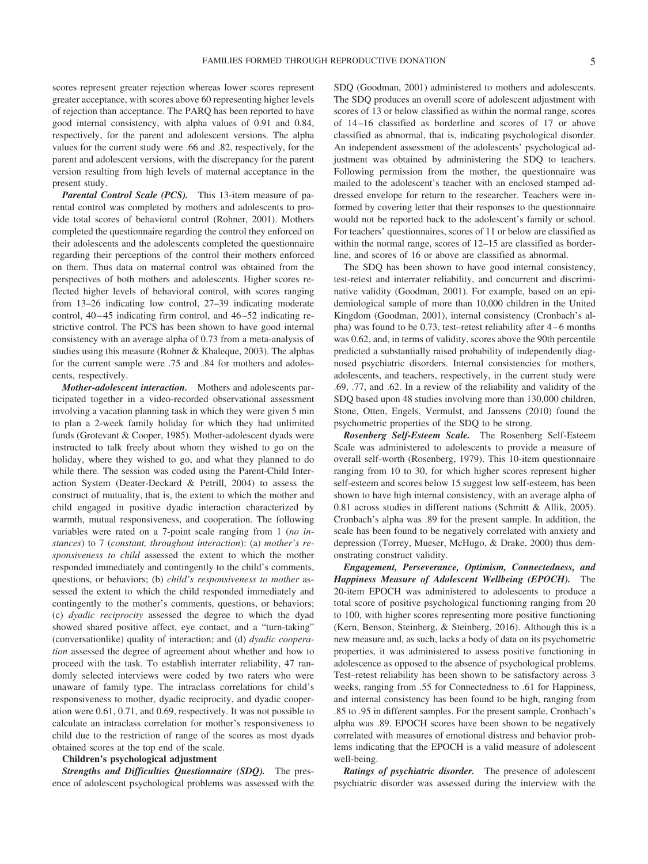scores represent greater rejection whereas lower scores represent greater acceptance, with scores above 60 representing higher levels of rejection than acceptance. The PARQ has been reported to have good internal consistency, with alpha values of 0.91 and 0.84, respectively, for the parent and adolescent versions. The alpha values for the current study were .66 and .82, respectively, for the parent and adolescent versions, with the discrepancy for the parent version resulting from high levels of maternal acceptance in the present study.

*Parental Control Scale (PCS).* This 13-item measure of parental control was completed by mothers and adolescents to provide total scores of behavioral control (Rohner, 2001). Mothers completed the questionnaire regarding the control they enforced on their adolescents and the adolescents completed the questionnaire regarding their perceptions of the control their mothers enforced on them. Thus data on maternal control was obtained from the perspectives of both mothers and adolescents. Higher scores reflected higher levels of behavioral control, with scores ranging from 13–26 indicating low control, 27–39 indicating moderate control, 40 – 45 indicating firm control, and 46 –52 indicating restrictive control. The PCS has been shown to have good internal consistency with an average alpha of 0.73 from a meta-analysis of studies using this measure (Rohner & Khaleque, 2003). The alphas for the current sample were .75 and .84 for mothers and adolescents, respectively.

*Mother-adolescent interaction.* Mothers and adolescents participated together in a video-recorded observational assessment involving a vacation planning task in which they were given 5 min to plan a 2-week family holiday for which they had unlimited funds (Grotevant & Cooper, 1985). Mother-adolescent dyads were instructed to talk freely about whom they wished to go on the holiday, where they wished to go, and what they planned to do while there. The session was coded using the Parent-Child Interaction System (Deater-Deckard & Petrill, 2004) to assess the construct of mutuality, that is, the extent to which the mother and child engaged in positive dyadic interaction characterized by warmth, mutual responsiveness, and cooperation. The following variables were rated on a 7-point scale ranging from 1 (*no instances*) to 7 (*constant, throughout interaction*): (a) *mother's responsiveness to child* assessed the extent to which the mother responded immediately and contingently to the child's comments, questions, or behaviors; (b) *child's responsiveness to mother* assessed the extent to which the child responded immediately and contingently to the mother's comments, questions, or behaviors; (c) *dyadic reciprocity* assessed the degree to which the dyad showed shared positive affect, eye contact, and a "turn-taking" (conversationlike) quality of interaction; and (d) *dyadic cooperation* assessed the degree of agreement about whether and how to proceed with the task. To establish interrater reliability, 47 randomly selected interviews were coded by two raters who were unaware of family type. The intraclass correlations for child's responsiveness to mother, dyadic reciprocity, and dyadic cooperation were 0.61, 0.71, and 0.69, respectively. It was not possible to calculate an intraclass correlation for mother's responsiveness to child due to the restriction of range of the scores as most dyads obtained scores at the top end of the scale.

#### **Children's psychological adjustment**

*Strengths and Difficulties Questionnaire (SDQ).* The presence of adolescent psychological problems was assessed with the SDQ (Goodman, 2001) administered to mothers and adolescents. The SDQ produces an overall score of adolescent adjustment with scores of 13 or below classified as within the normal range, scores of 14 –16 classified as borderline and scores of 17 or above classified as abnormal, that is, indicating psychological disorder. An independent assessment of the adolescents' psychological adjustment was obtained by administering the SDQ to teachers. Following permission from the mother, the questionnaire was mailed to the adolescent's teacher with an enclosed stamped addressed envelope for return to the researcher. Teachers were informed by covering letter that their responses to the questionnaire would not be reported back to the adolescent's family or school. For teachers' questionnaires, scores of 11 or below are classified as within the normal range, scores of 12–15 are classified as borderline, and scores of 16 or above are classified as abnormal.

The SDQ has been shown to have good internal consistency, test-retest and interrater reliability, and concurrent and discriminative validity (Goodman, 2001). For example, based on an epidemiological sample of more than 10,000 children in the United Kingdom (Goodman, 2001), internal consistency (Cronbach's alpha) was found to be  $0.73$ , test–retest reliability after  $4-6$  months was 0.62, and, in terms of validity, scores above the 90th percentile predicted a substantially raised probability of independently diagnosed psychiatric disorders. Internal consistencies for mothers, adolescents, and teachers, respectively, in the current study were .69, .77, and .62. In a review of the reliability and validity of the SDQ based upon 48 studies involving more than 130,000 children, Stone, Otten, Engels, Vermulst, and Janssens (2010) found the psychometric properties of the SDQ to be strong.

*Rosenberg Self-Esteem Scale.* The Rosenberg Self-Esteem Scale was administered to adolescents to provide a measure of overall self-worth (Rosenberg, 1979). This 10-item questionnaire ranging from 10 to 30, for which higher scores represent higher self-esteem and scores below 15 suggest low self-esteem, has been shown to have high internal consistency, with an average alpha of 0.81 across studies in different nations (Schmitt & Allik, 2005). Cronbach's alpha was .89 for the present sample. In addition, the scale has been found to be negatively correlated with anxiety and depression (Torrey, Mueser, McHugo, & Drake, 2000) thus demonstrating construct validity.

*Engagement, Perseverance, Optimism, Connectedness, and Happiness Measure of Adolescent Wellbeing (EPOCH).* The 20-item EPOCH was administered to adolescents to produce a total score of positive psychological functioning ranging from 20 to 100, with higher scores representing more positive functioning (Kern, Benson, Steinberg, & Steinberg, 2016). Although this is a new measure and, as such, lacks a body of data on its psychometric properties, it was administered to assess positive functioning in adolescence as opposed to the absence of psychological problems. Test–retest reliability has been shown to be satisfactory across 3 weeks, ranging from .55 for Connectedness to .61 for Happiness, and internal consistency has been found to be high, ranging from .85 to .95 in different samples. For the present sample, Cronbach's alpha was .89. EPOCH scores have been shown to be negatively correlated with measures of emotional distress and behavior problems indicating that the EPOCH is a valid measure of adolescent well-being.

*Ratings of psychiatric disorder.* The presence of adolescent psychiatric disorder was assessed during the interview with the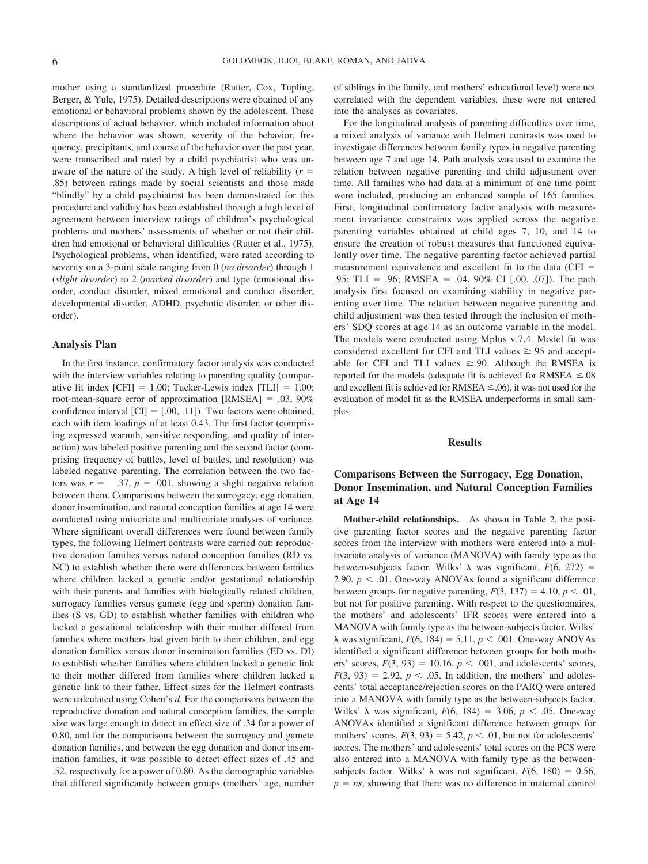mother using a standardized procedure (Rutter, Cox, Tupling, Berger, & Yule, 1975). Detailed descriptions were obtained of any emotional or behavioral problems shown by the adolescent. These descriptions of actual behavior, which included information about where the behavior was shown, severity of the behavior, frequency, precipitants, and course of the behavior over the past year, were transcribed and rated by a child psychiatrist who was unaware of the nature of the study. A high level of reliability  $(r =$ .85) between ratings made by social scientists and those made "blindly" by a child psychiatrist has been demonstrated for this procedure and validity has been established through a high level of agreement between interview ratings of children's psychological problems and mothers' assessments of whether or not their children had emotional or behavioral difficulties (Rutter et al., 1975). Psychological problems, when identified, were rated according to severity on a 3-point scale ranging from 0 (*no disorder*) through 1 (*slight disorder*) to 2 (*marked disorder*) and type (emotional disorder, conduct disorder, mixed emotional and conduct disorder, developmental disorder, ADHD, psychotic disorder, or other disorder).

#### **Analysis Plan**

In the first instance, confirmatory factor analysis was conducted with the interview variables relating to parenting quality (comparative fit index  $[CFI] = 1.00$ ; Tucker-Lewis index  $[TLI] = 1.00$ ; root-mean-square error of approximation  $[RMSEA] = .03, 90\%$ confidence interval  $\text{[CI]} = [.00, .11]$ ). Two factors were obtained, each with item loadings of at least 0.43. The first factor (comprising expressed warmth, sensitive responding, and quality of interaction) was labeled positive parenting and the second factor (comprising frequency of battles, level of battles, and resolution) was labeled negative parenting. The correlation between the two factors was  $r = -.37$ ,  $p = .001$ , showing a slight negative relation between them. Comparisons between the surrogacy, egg donation, donor insemination, and natural conception families at age 14 were conducted using univariate and multivariate analyses of variance. Where significant overall differences were found between family types, the following Helmert contrasts were carried out: reproductive donation families versus natural conception families (RD vs. NC) to establish whether there were differences between families where children lacked a genetic and/or gestational relationship with their parents and families with biologically related children, surrogacy families versus gamete (egg and sperm) donation families (S vs. GD) to establish whether families with children who lacked a gestational relationship with their mother differed from families where mothers had given birth to their children, and egg donation families versus donor insemination families (ED vs. DI) to establish whether families where children lacked a genetic link to their mother differed from families where children lacked a genetic link to their father. Effect sizes for the Helmert contrasts were calculated using Cohen's *d*. For the comparisons between the reproductive donation and natural conception families, the sample size was large enough to detect an effect size of .34 for a power of 0.80, and for the comparisons between the surrogacy and gamete donation families, and between the egg donation and donor insemination families, it was possible to detect effect sizes of .45 and .52, respectively for a power of 0.80. As the demographic variables that differed significantly between groups (mothers' age, number of siblings in the family, and mothers' educational level) were not correlated with the dependent variables, these were not entered into the analyses as covariates.

For the longitudinal analysis of parenting difficulties over time, a mixed analysis of variance with Helmert contrasts was used to investigate differences between family types in negative parenting between age 7 and age 14. Path analysis was used to examine the relation between negative parenting and child adjustment over time. All families who had data at a minimum of one time point were included, producing an enhanced sample of 165 families. First, longitudinal confirmatory factor analysis with measurement invariance constraints was applied across the negative parenting variables obtained at child ages 7, 10, and 14 to ensure the creation of robust measures that functioned equivalently over time. The negative parenting factor achieved partial measurement equivalence and excellent fit to the data  $(CFI =$ .95; TLI = .96; RMSEA = .04, 90% CI [.00, .07]). The path analysis first focused on examining stability in negative parenting over time. The relation between negative parenting and child adjustment was then tested through the inclusion of mothers' SDQ scores at age 14 as an outcome variable in the model. The models were conducted using Mplus v.7.4. Model fit was considered excellent for CFI and TLI values  $\geq .95$  and acceptable for CFI and TLI values  $\geq .90$ . Although the RMSEA is reported for the models (adequate fit is achieved for RMSEA  $\leq .08$ and excellent fit is achieved for RMSEA  $\leq$ .06), it was not used for the evaluation of model fit as the RMSEA underperforms in small samples.

#### **Results**

#### **Comparisons Between the Surrogacy, Egg Donation, Donor Insemination, and Natural Conception Families at Age 14**

**Mother-child relationships.** As shown in Table 2, the positive parenting factor scores and the negative parenting factor scores from the interview with mothers were entered into a multivariate analysis of variance (MANOVA) with family type as the between-subjects factor. Wilks'  $\lambda$  was significant,  $F(6, 272) =$ 2.90,  $p < .01$ . One-way ANOVAs found a significant difference between groups for negative parenting,  $F(3, 137) = 4.10, p < .01$ , but not for positive parenting. With respect to the questionnaires, the mothers' and adolescents' IFR scores were entered into a MANOVA with family type as the between-subjects factor. Wilks'  $\lambda$  was significant,  $F(6, 184) = 5.11, p < .001$ . One-way ANOVAs identified a significant difference between groups for both mothers' scores,  $F(3, 93) = 10.16$ ,  $p < .001$ , and adolescents' scores,  $F(3, 93) = 2.92$ ,  $p < .05$ . In addition, the mothers' and adolescents' total acceptance/rejection scores on the PARQ were entered into a MANOVA with family type as the between-subjects factor. Wilks'  $\lambda$  was significant,  $F(6, 184) = 3.06$ ,  $p < .05$ . One-way ANOVAs identified a significant difference between groups for mothers' scores,  $F(3, 93) = 5.42$ ,  $p < .01$ , but not for adolescents' scores. The mothers' and adolescents' total scores on the PCS were also entered into a MANOVA with family type as the betweensubjects factor. Wilks'  $\lambda$  was not significant,  $F(6, 180) = 0.56$ ,  $p = ns$ , showing that there was no difference in maternal control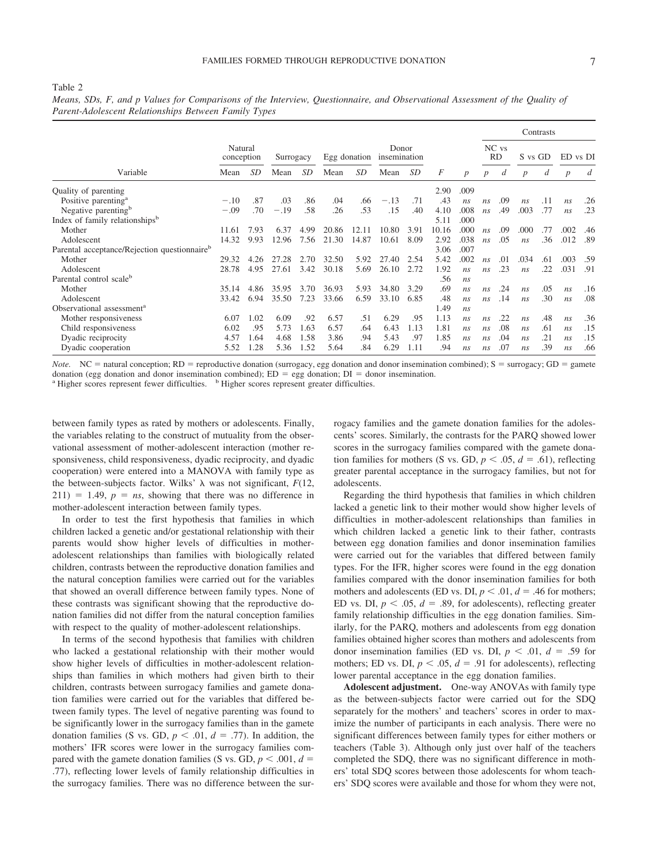Table 2

|                                                          |                       |      |           |           |              |       |                       |      |                |                  | Contrasts          |     |                  |     |                  |     |
|----------------------------------------------------------|-----------------------|------|-----------|-----------|--------------|-------|-----------------------|------|----------------|------------------|--------------------|-----|------------------|-----|------------------|-----|
|                                                          | Natural<br>conception |      | Surrogacy |           | Egg donation |       | Donor<br>insemination |      |                |                  | NC vs<br><b>RD</b> |     | S vs GD          |     | ED vs DI         |     |
| Variable                                                 | Mean                  | SD   | Mean      | <b>SD</b> | Mean         | SD    | Mean                  | SD   | $\overline{F}$ | $\boldsymbol{p}$ | $\boldsymbol{p}$   | d   | $\boldsymbol{p}$ | d   | $\boldsymbol{p}$ | d   |
| Quality of parenting                                     |                       |      |           |           |              |       |                       |      | 2.90           | .009             |                    |     |                  |     |                  |     |
| Positive parenting <sup>a</sup>                          | $-.10$                | .87  | .03       | .86       | .04          | .66   | $-.13$                | .71  | .43            | ns               | ns                 | .09 | ns               | .11 | ns               | .26 |
| Negative parenting <sup>b</sup>                          | $-.09$                | .70  | $-.19$    | .58       | .26          | .53   | .15                   | .40  | 4.10           | .008             | ns                 | .49 | .003             | .77 | ns               | .23 |
| Index of family relationships <sup>b</sup>               |                       |      |           |           |              |       |                       |      | 5.11           | .000             |                    |     |                  |     |                  |     |
| Mother                                                   | 11.61                 | 7.93 | 6.37      | 4.99      | 20.86        | 12.11 | 10.80                 | 3.91 | 10.16          | .000             | n <sub>s</sub>     | .09 | .000             | .77 | .002             | .46 |
| Adolescent                                               | 14.32                 | 9.93 | 12.96     | 7.56      | .30<br>21.   | 14.87 | 10.61                 | 8.09 | 2.92           | .038             | n <sub>S</sub>     | .05 | ns               | .36 | .012             | .89 |
| Parental acceptance/Rejection questionnaire <sup>b</sup> |                       |      |           |           |              |       |                       |      | 3.06           | .007             |                    |     |                  |     |                  |     |
| Mother                                                   | 29.32                 | 4.26 | 27.28     | 2.70      | 32.50        | 5.92  | 27.40                 | 2.54 | 5.42           | .002             | n <sub>s</sub>     | .01 | .034             | .61 | .003             | .59 |
| Adolescent                                               | 28.78                 | 4.95 | 27.61     | 3.42      | 30.18        | 5.69  | 26.10                 | 2.72 | 1.92           | ns               | ns                 | .23 | ns               | .22 | .031             | .91 |
| Parental control scale <sup>b</sup>                      |                       |      |           |           |              |       |                       |      | .56            | ns               |                    |     |                  |     |                  |     |
| Mother                                                   | 35.14                 | 4.86 | 35.95     | 3.70      | 36.93        | 5.93  | 34.80                 | 3.29 | .69            | ns               | ns                 | .24 | ns               | .05 | ns               | .16 |
| Adolescent                                               | 33.42                 | 6.94 | 35.50     | 7.23      | 33.66        | 6.59  | 33.10                 | 6.85 | .48            | ns               | ns                 | .14 | ns               | .30 | ns               | .08 |
| Observational assessment <sup>a</sup>                    |                       |      |           |           |              |       |                       |      | 1.49           | ns               |                    |     |                  |     |                  |     |
| Mother responsiveness                                    | 6.07                  | 1.02 | 6.09      | .92       | 6.57         | .51   | 6.29                  | .95  | 1.13           | ns               | ns                 | .22 | ns               | .48 | ns               | .36 |
| Child responsiveness                                     | 6.02                  | .95  | 5.73      | 1.63      | 6.57         | .64   | 6.43                  | 1.13 | 1.81           | ns               | ns                 | .08 | ns               | .61 | ns               | .15 |
| Dyadic reciprocity                                       | 4.57                  | .64  | 4.68      | 1.58      | 3.86         | .94   | 5.43                  | .97  | 1.85           | ns               | ns                 | .04 | ns               | .21 | ns               | .15 |
| Dyadic cooperation                                       | 5.52                  | .28  | 5.36      | 1.52      | 5.64         | .84   | 6.29                  | 1.11 | .94            | ns               | ns                 | .07 | ns               | .39 | ns               | .66 |

*Means, SDs, F, and p Values for Comparisons of the Interview, Questionnaire, and Observational Assessment of the Quality of Parent-Adolescent Relationships Between Family Types*

*Note.* NC = natural conception;  $RD$  = reproductive donation (surrogacy, egg donation and donor insemination combined);  $S$  = surrogacy;  $GD$  = gamete donation (egg donation and donor insemination combined);  $ED = egg$  donation;  $DI =$ 

<sup>a</sup> Higher scores represent fewer difficulties. <sup>b</sup> Higher scores represent greater difficulties.

between family types as rated by mothers or adolescents. Finally, the variables relating to the construct of mutuality from the observational assessment of mother-adolescent interaction (mother responsiveness, child responsiveness, dyadic reciprocity, and dyadic cooperation) were entered into a MANOVA with family type as the between-subjects factor. Wilks'  $\lambda$  was not significant,  $F(12)$ ,  $211$ ) = 1.49,  $p = ns$ , showing that there was no difference in mother-adolescent interaction between family types.

In order to test the first hypothesis that families in which children lacked a genetic and/or gestational relationship with their parents would show higher levels of difficulties in motheradolescent relationships than families with biologically related children, contrasts between the reproductive donation families and the natural conception families were carried out for the variables that showed an overall difference between family types. None of these contrasts was significant showing that the reproductive donation families did not differ from the natural conception families with respect to the quality of mother-adolescent relationships.

In terms of the second hypothesis that families with children who lacked a gestational relationship with their mother would show higher levels of difficulties in mother-adolescent relationships than families in which mothers had given birth to their children, contrasts between surrogacy families and gamete donation families were carried out for the variables that differed between family types. The level of negative parenting was found to be significantly lower in the surrogacy families than in the gamete donation families (S vs. GD,  $p < .01$ ,  $d = .77$ ). In addition, the mothers' IFR scores were lower in the surrogacy families compared with the gamete donation families (S vs. GD,  $p < .001$ ,  $d =$ .77), reflecting lower levels of family relationship difficulties in the surrogacy families. There was no difference between the surrogacy families and the gamete donation families for the adolescents' scores. Similarly, the contrasts for the PARQ showed lower scores in the surrogacy families compared with the gamete donation families for mothers (S vs. GD,  $p < .05$ ,  $d = .61$ ), reflecting greater parental acceptance in the surrogacy families, but not for adolescents.

Regarding the third hypothesis that families in which children lacked a genetic link to their mother would show higher levels of difficulties in mother-adolescent relationships than families in which children lacked a genetic link to their father, contrasts between egg donation families and donor insemination families were carried out for the variables that differed between family types. For the IFR, higher scores were found in the egg donation families compared with the donor insemination families for both mothers and adolescents (ED vs. DI,  $p < .01$ ,  $d = .46$  for mothers; ED vs. DI,  $p < .05$ ,  $d = .89$ , for adolescents), reflecting greater family relationship difficulties in the egg donation families. Similarly, for the PARQ, mothers and adolescents from egg donation families obtained higher scores than mothers and adolescents from donor insemination families (ED vs. DI,  $p < .01$ ,  $d = .59$  for mothers; ED vs. DI,  $p < .05$ ,  $d = .91$  for adolescents), reflecting lower parental acceptance in the egg donation families.

**Adolescent adjustment.** One-way ANOVAs with family type as the between-subjects factor were carried out for the SDQ separately for the mothers' and teachers' scores in order to maximize the number of participants in each analysis. There were no significant differences between family types for either mothers or teachers [\(Table 3\)](#page-8-0). Although only just over half of the teachers completed the SDQ, there was no significant difference in mothers' total SDQ scores between those adolescents for whom teachers' SDQ scores were available and those for whom they were not,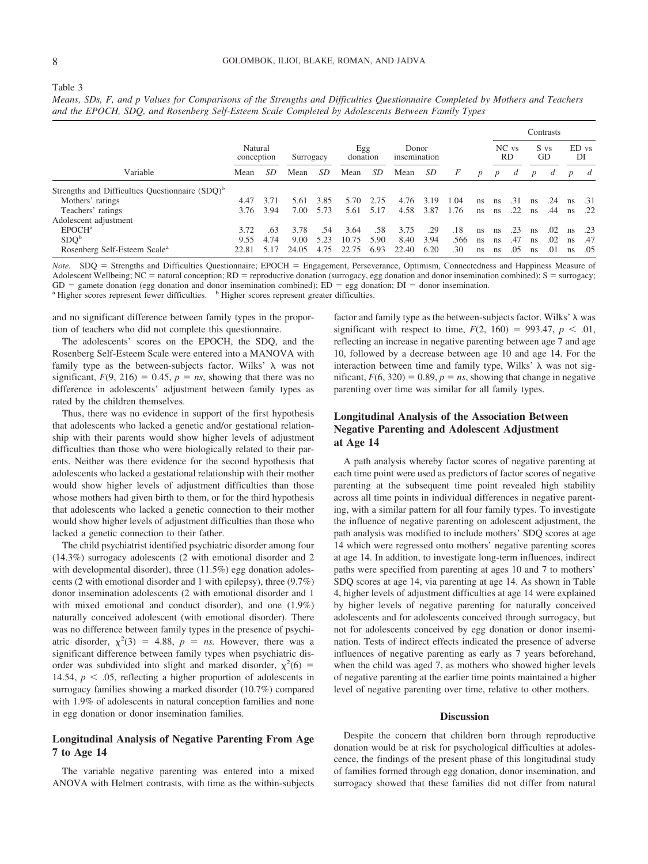| ana ine EPOCH, SDQ, ana Kosenberg Self-Esteem Scale Completea by Adolescents Between Family Types |                       |      |           |      |                 |      |                       |           |      |                  |                    |     |                  |     |                  |                |
|---------------------------------------------------------------------------------------------------|-----------------------|------|-----------|------|-----------------|------|-----------------------|-----------|------|------------------|--------------------|-----|------------------|-----|------------------|----------------|
|                                                                                                   |                       |      |           |      |                 |      |                       |           |      |                  | Contrasts          |     |                  |     |                  |                |
|                                                                                                   | Natural<br>conception |      | Surrogacy |      | Egg<br>donation |      | Donor<br>insemination |           |      |                  | NC vs<br><b>RD</b> |     | S vs<br>GD       |     |                  | ED vs<br>DI    |
| Variable                                                                                          | Mean                  | SD   | Mean      | SD   | Mean            | SD   | Mean                  | <i>SD</i> | F    | $\boldsymbol{p}$ | $\boldsymbol{p}$   | d   | $\boldsymbol{p}$ | d   | $\boldsymbol{p}$ | $\mathfrak{a}$ |
| Strengths and Difficulties Questionnaire (SDO) <sup>b</sup>                                       |                       |      |           |      |                 |      |                       |           |      |                  |                    |     |                  |     |                  |                |
| Mothers' ratings                                                                                  | 4.47                  | 3.71 | 5.61      | 3.85 | 5.70            | 2.75 | 4.76                  | 3.19      | L.04 | ns               | ns                 | .31 | ns               | .24 | ns               | .31            |
| Teachers' ratings                                                                                 | 3.76                  | 3.94 | 7.00      | 5.73 | 5.61            | 5.17 | 4.58                  | 3.87      | 1.76 | ns.              | ns                 | .22 | <sub>ns</sub>    | .44 | ns               | .22            |
| Adolescent adjustment                                                                             |                       |      |           |      |                 |      |                       |           |      |                  |                    |     |                  |     |                  |                |
| <b>EPOCH</b> <sup>a</sup>                                                                         | 3.72                  | .63  | 3.78      | .54  | 3.64            | .58  | 3.75                  | .29       | .18  | ns               | ns                 | .23 | ns               | .02 | ns               | .23            |
| SDO <sup>b</sup>                                                                                  | 9.55                  | 4.74 | 9.00      | 5.23 | 10.75           | 5.90 | 8.40                  | 3.94      | .566 | ns               | ns                 | .47 | ns               | .02 | ns               | .47            |
| Rosenberg Self-Esteem Scale <sup>a</sup>                                                          | 22.81                 |      | 24.05     | 4.75 | 22.75           | 6.93 | 22.40                 | 6.20      | .30  | ns.              | ns                 | .05 | ns               | .01 | ns               | .05            |

*Means, SDs, F, and p Values for Comparisons of the Strengths and Difficulties Questionnaire Completed by Mothers and Teachers*<br>and the EPOCH, SDO, and Rosenberg Self-Esteem Scale Completed by Adolescents Between Equily Ty *and the EPOCH, SDQ, and Rosenberg Self-Esteem Scale Completed by Adolescents Between Family Types*

Note. SDQ = Strengths and Difficulties Questionnaire; EPOCH = Engagement, Perseverance, Optimism, Connectedness and Happiness Measure of Adolescent Wellbeing; NC = natural conception; RD = reproductive donation (surrogacy, egg donation and donor insemination combined); S = surrogacy; GD = gamete donation (egg donation and donor insemination combined);  $ED = egg$  donation;  $DI =$  donor insemination.<br><sup>a</sup> Higher scores represent fewer difficulties. <sup>b</sup> Higher scores represent greater difficulties.

and no significant difference between family types in the proportion of teachers who did not complete this questionnaire.

The adolescents' scores on the EPOCH, the SDQ, and the Rosenberg Self-Esteem Scale were entered into a MANOVA with family type as the between-subjects factor. Wilks'  $\lambda$  was not significant,  $F(9, 216) = 0.45$ ,  $p = ns$ , showing that there was no difference in adolescents' adjustment between family types as rated by the children themselves.

Thus, there was no evidence in support of the first hypothesis that adolescents who lacked a genetic and/or gestational relationship with their parents would show higher levels of adjustment difficulties than those who were biologically related to their parents. Neither was there evidence for the second hypothesis that adolescents who lacked a gestational relationship with their mother would show higher levels of adjustment difficulties than those whose mothers had given birth to them, or for the third hypothesis that adolescents who lacked a genetic connection to their mother would show higher levels of adjustment difficulties than those who lacked a genetic connection to their father.

The child psychiatrist identified psychiatric disorder among four (14.3%) surrogacy adolescents (2 with emotional disorder and 2 with developmental disorder), three (11.5%) egg donation adolescents (2 with emotional disorder and 1 with epilepsy), three (9.7%) donor insemination adolescents (2 with emotional disorder and 1 with mixed emotional and conduct disorder), and one (1.9%) naturally conceived adolescent (with emotional disorder). There was no difference between family types in the presence of psychiatric disorder,  $\chi^2(3) = 4.88$ ,  $p = ns$ . However, there was a significant difference between family types when psychiatric disorder was subdivided into slight and marked disorder,  $\chi^2(6)$  = 14.54,  $p < .05$ , reflecting a higher proportion of adolescents in surrogacy families showing a marked disorder (10.7%) compared with 1.9% of adolescents in natural conception families and none in egg donation or donor insemination families.

#### **Longitudinal Analysis of Negative Parenting From Age 7 to Age 14**

The variable negative parenting was entered into a mixed ANOVA with Helmert contrasts, with time as the within-subjects

factor and family type as the between-subjects factor. Wilks'  $\lambda$  was significant with respect to time,  $F(2, 160) = 993.47, p < .01,$ reflecting an increase in negative parenting between age 7 and age 10, followed by a decrease between age 10 and age 14. For the interaction between time and family type, Wilks'  $\lambda$  was not significant,  $F(6, 320) = 0.89$ ,  $p = ns$ , showing that change in negative parenting over time was similar for all family types.

#### **Longitudinal Analysis of the Association Between Negative Parenting and Adolescent Adjustment at Age 14**

A path analysis whereby factor scores of negative parenting at each time point were used as predictors of factor scores of negative parenting at the subsequent time point revealed high stability across all time points in individual differences in negative parenting, with a similar pattern for all four family types. To investigate the influence of negative parenting on adolescent adjustment, the path analysis was modified to include mothers' SDQ scores at age 14 which were regressed onto mothers' negative parenting scores at age 14. In addition, to investigate long-term influences, indirect paths were specified from parenting at ages 10 and 7 to mothers' SDQ scores at age 14, via parenting at age 14. As shown in [Table](#page-9-0) [4,](#page-9-0) higher levels of adjustment difficulties at age 14 were explained by higher levels of negative parenting for naturally conceived adolescents and for adolescents conceived through surrogacy, but not for adolescents conceived by egg donation or donor insemination. Tests of indirect effects indicated the presence of adverse influences of negative parenting as early as 7 years beforehand, when the child was aged 7, as mothers who showed higher levels of negative parenting at the earlier time points maintained a higher level of negative parenting over time, relative to other mothers.

#### **Discussion**

Despite the concern that children born through reproductive donation would be at risk for psychological difficulties at adolescence, the findings of the present phase of this longitudinal study of families formed through egg donation, donor insemination, and surrogacy showed that these families did not differ from natural

<span id="page-8-0"></span>Table 3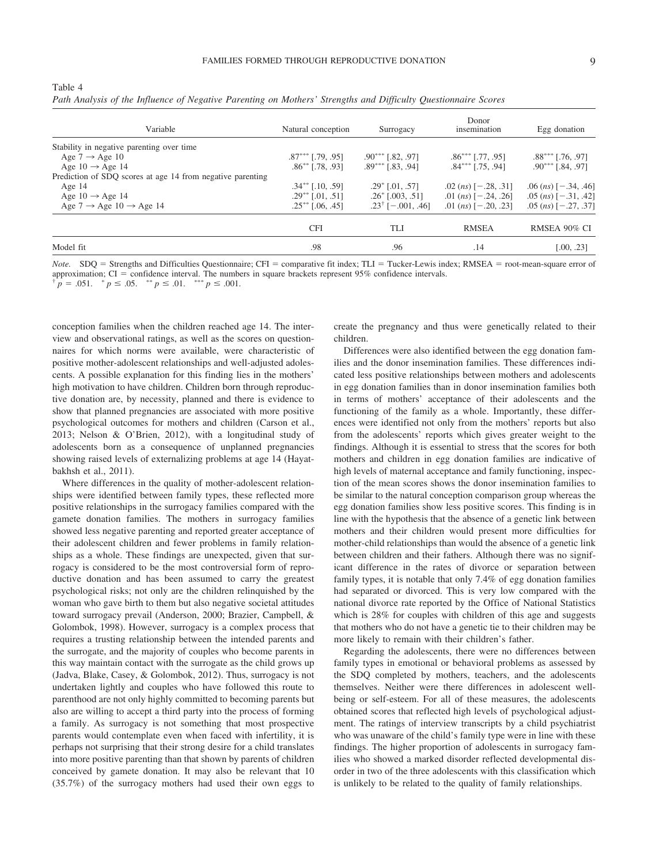<span id="page-9-0"></span>

|--|--|

|  |  |  |  | Path Analysis of the Influence of Negative Parenting on Mothers' Strengths and Difficulty Questionnaire Scores |  |
|--|--|--|--|----------------------------------------------------------------------------------------------------------------|--|
|  |  |  |  |                                                                                                                |  |

| Variable                                                   | Natural conception             | Surrogacy                        | Donor<br>insemination           | Egg donation           |
|------------------------------------------------------------|--------------------------------|----------------------------------|---------------------------------|------------------------|
| Stability in negative parenting over time                  |                                |                                  |                                 |                        |
| Age $7 \rightarrow$ Age 10                                 | $.87***$ $-.79$ , $.95$ ]      | $.90^{***}$ [.82, .97]           | $.86***$ [.77, .95]             | $.88***$ [.76, .97]    |
| Age $10 \rightarrow$ Age 14                                | $.86^{**}$ [.78, .93]          | $.89***$ [.83, .94]              | $.84***$ $-.75$ , $.94$ ]       | $.90***$ $5.84,.97$ ]  |
| Prediction of SDQ scores at age 14 from negative parenting |                                |                                  |                                 |                        |
| Age $14$                                                   | $.34$ <sup>**</sup> [.10, .59] | $.29^{\circ}$ [.01, .57]         | .02 $(ns)$ [-.28, .31]          | .06 $(ns)$ [-.34, .46] |
| Age $10 \rightarrow$ Age 14                                | $.29^{**}$ [.01, .51]          | $.26^*$ [.003, .51]              | .01 ( <i>ns</i> ) $[-.24, .26]$ | .05 $(ns)$ [-.31, .42] |
| Age 7 $\rightarrow$ Age 10 $\rightarrow$ Age 14            | $.25^{**}$ [.06, .45]          | $.23^{\dagger}$ [ $-.001, .46$ ] | .01 $(ns)$ [-.20, .23]          | .05 $(ns)$ [-.27, .37] |
|                                                            | <b>CFI</b>                     | TLI                              | <b>RMSEA</b>                    | RMSEA 90% CI           |
| Model fit                                                  | .98                            | .96                              | .14                             | [.00, .23]             |

*Note.* SDQ = Strengths and Difficulties Questionnaire; CFI = comparative fit index; TLI = Tucker-Lewis index; RMSEA = root-mean-square error of approximation; CI = confidence interval. The numbers in square brackets represent 95% confidence intervals.  $\phi^{\dagger} p = .051$ .  $\phi^* p \le .01$ .  $\phi^* p \le .001$ .

 $= .051.$   $^{*}p \le .05.$   $^{**}p \le .01.$   $^{***}p \le .001.$ 

conception families when the children reached age 14. The interview and observational ratings, as well as the scores on questionnaires for which norms were available, were characteristic of positive mother-adolescent relationships and well-adjusted adolescents. A possible explanation for this finding lies in the mothers' high motivation to have children. Children born through reproductive donation are, by necessity, planned and there is evidence to show that planned pregnancies are associated with more positive psychological outcomes for mothers and children (Carson et al., 2013; Nelson & O'Brien, 2012), with a longitudinal study of adolescents born as a consequence of unplanned pregnancies showing raised levels of externalizing problems at age 14 (Hayatbakhsh et al., 2011).

Where differences in the quality of mother-adolescent relationships were identified between family types, these reflected more positive relationships in the surrogacy families compared with the gamete donation families. The mothers in surrogacy families showed less negative parenting and reported greater acceptance of their adolescent children and fewer problems in family relationships as a whole. These findings are unexpected, given that surrogacy is considered to be the most controversial form of reproductive donation and has been assumed to carry the greatest psychological risks; not only are the children relinquished by the woman who gave birth to them but also negative societal attitudes toward surrogacy prevail (Anderson, 2000; Brazier, Campbell, & Golombok, 1998). However, surrogacy is a complex process that requires a trusting relationship between the intended parents and the surrogate, and the majority of couples who become parents in this way maintain contact with the surrogate as the child grows up (Jadva, Blake, Casey, & Golombok, 2012). Thus, surrogacy is not undertaken lightly and couples who have followed this route to parenthood are not only highly committed to becoming parents but also are willing to accept a third party into the process of forming a family. As surrogacy is not something that most prospective parents would contemplate even when faced with infertility, it is perhaps not surprising that their strong desire for a child translates into more positive parenting than that shown by parents of children conceived by gamete donation. It may also be relevant that 10 (35.7%) of the surrogacy mothers had used their own eggs to create the pregnancy and thus were genetically related to their children.

Differences were also identified between the egg donation families and the donor insemination families. These differences indicated less positive relationships between mothers and adolescents in egg donation families than in donor insemination families both in terms of mothers' acceptance of their adolescents and the functioning of the family as a whole. Importantly, these differences were identified not only from the mothers' reports but also from the adolescents' reports which gives greater weight to the findings. Although it is essential to stress that the scores for both mothers and children in egg donation families are indicative of high levels of maternal acceptance and family functioning, inspection of the mean scores shows the donor insemination families to be similar to the natural conception comparison group whereas the egg donation families show less positive scores. This finding is in line with the hypothesis that the absence of a genetic link between mothers and their children would present more difficulties for mother-child relationships than would the absence of a genetic link between children and their fathers. Although there was no significant difference in the rates of divorce or separation between family types, it is notable that only 7.4% of egg donation families had separated or divorced. This is very low compared with the national divorce rate reported by the Office of National Statistics which is 28% for couples with children of this age and suggests that mothers who do not have a genetic tie to their children may be more likely to remain with their children's father.

Regarding the adolescents, there were no differences between family types in emotional or behavioral problems as assessed by the SDQ completed by mothers, teachers, and the adolescents themselves. Neither were there differences in adolescent wellbeing or self-esteem. For all of these measures, the adolescents obtained scores that reflected high levels of psychological adjustment. The ratings of interview transcripts by a child psychiatrist who was unaware of the child's family type were in line with these findings. The higher proportion of adolescents in surrogacy families who showed a marked disorder reflected developmental disorder in two of the three adolescents with this classification which is unlikely to be related to the quality of family relationships.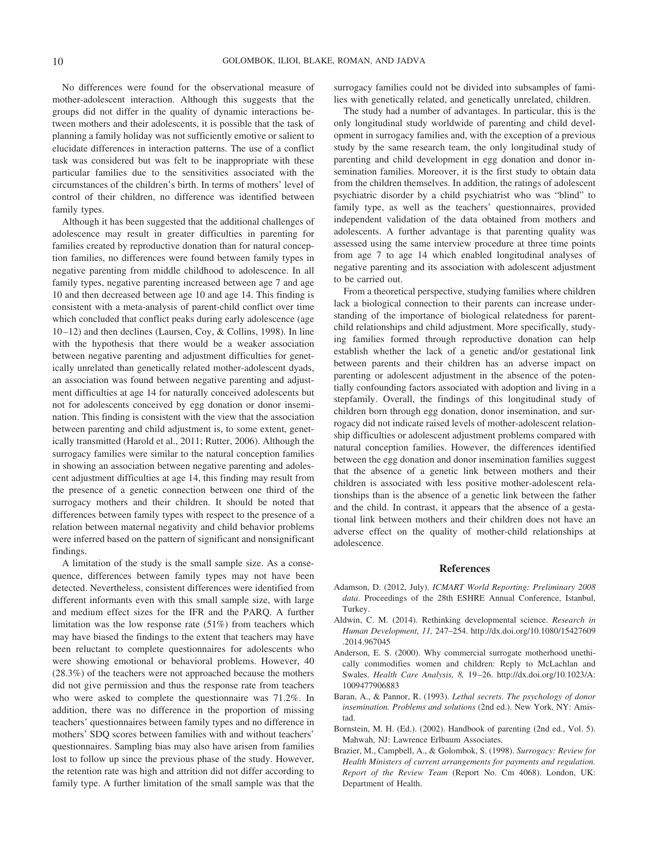No differences were found for the observational measure of mother-adolescent interaction. Although this suggests that the groups did not differ in the quality of dynamic interactions between mothers and their adolescents, it is possible that the task of planning a family holiday was not sufficiently emotive or salient to elucidate differences in interaction patterns. The use of a conflict task was considered but was felt to be inappropriate with these particular families due to the sensitivities associated with the circumstances of the children's birth. In terms of mothers' level of control of their children, no difference was identified between family types.

Although it has been suggested that the additional challenges of adolescence may result in greater difficulties in parenting for families created by reproductive donation than for natural conception families, no differences were found between family types in negative parenting from middle childhood to adolescence. In all family types, negative parenting increased between age 7 and age 10 and then decreased between age 10 and age 14. This finding is consistent with a meta-analysis of parent-child conflict over time which concluded that conflict peaks during early adolescence (age 10 –12) and then declines (Laursen, Coy, & Collins, 1998). In line with the hypothesis that there would be a weaker association between negative parenting and adjustment difficulties for genetically unrelated than genetically related mother-adolescent dyads, an association was found between negative parenting and adjustment difficulties at age 14 for naturally conceived adolescents but not for adolescents conceived by egg donation or donor insemination. This finding is consistent with the view that the association between parenting and child adjustment is, to some extent, genetically transmitted (Harold et al., 2011; Rutter, 2006). Although the surrogacy families were similar to the natural conception families in showing an association between negative parenting and adolescent adjustment difficulties at age 14, this finding may result from the presence of a genetic connection between one third of the surrogacy mothers and their children. It should be noted that differences between family types with respect to the presence of a relation between maternal negativity and child behavior problems were inferred based on the pattern of significant and nonsignificant findings.

A limitation of the study is the small sample size. As a consequence, differences between family types may not have been detected. Nevertheless, consistent differences were identified from different informants even with this small sample size, with large and medium effect sizes for the IFR and the PARQ. A further limitation was the low response rate (51%) from teachers which may have biased the findings to the extent that teachers may have been reluctant to complete questionnaires for adolescents who were showing emotional or behavioral problems. However, 40 (28.3%) of the teachers were not approached because the mothers did not give permission and thus the response rate from teachers who were asked to complete the questionnaire was 71.2%. In addition, there was no difference in the proportion of missing teachers' questionnaires between family types and no difference in mothers' SDQ scores between families with and without teachers' questionnaires. Sampling bias may also have arisen from families lost to follow up since the previous phase of the study. However, the retention rate was high and attrition did not differ according to family type. A further limitation of the small sample was that the

surrogacy families could not be divided into subsamples of families with genetically related, and genetically unrelated, children.

The study had a number of advantages. In particular, this is the only longitudinal study worldwide of parenting and child development in surrogacy families and, with the exception of a previous study by the same research team, the only longitudinal study of parenting and child development in egg donation and donor insemination families. Moreover, it is the first study to obtain data from the children themselves. In addition, the ratings of adolescent psychiatric disorder by a child psychiatrist who was "blind" to family type, as well as the teachers' questionnaires, provided independent validation of the data obtained from mothers and adolescents. A further advantage is that parenting quality was assessed using the same interview procedure at three time points from age 7 to age 14 which enabled longitudinal analyses of negative parenting and its association with adolescent adjustment to be carried out.

From a theoretical perspective, studying families where children lack a biological connection to their parents can increase understanding of the importance of biological relatedness for parentchild relationships and child adjustment. More specifically, studying families formed through reproductive donation can help establish whether the lack of a genetic and/or gestational link between parents and their children has an adverse impact on parenting or adolescent adjustment in the absence of the potentially confounding factors associated with adoption and living in a stepfamily. Overall, the findings of this longitudinal study of children born through egg donation, donor insemination, and surrogacy did not indicate raised levels of mother-adolescent relationship difficulties or adolescent adjustment problems compared with natural conception families. However, the differences identified between the egg donation and donor insemination families suggest that the absence of a genetic link between mothers and their children is associated with less positive mother-adolescent relationships than is the absence of a genetic link between the father and the child. In contrast, it appears that the absence of a gestational link between mothers and their children does not have an adverse effect on the quality of mother-child relationships at adolescence.

#### **References**

- Adamson, D. (2012, July). *ICMART World Reporting: Preliminary 2008 data*. Proceedings of the 28th ESHRE Annual Conference, Istanbul, Turkey.
- Aldwin, C. M. (2014). Rethinking developmental science. *Research in Human Development, 11,* 247–254. [http://dx.doi.org/10.1080/15427609](http://dx.doi.org/10.1080/15427609.2014.967045) [.2014.967045](http://dx.doi.org/10.1080/15427609.2014.967045)
- Anderson, E. S. (2000). Why commercial surrogate motherhood unethically commodifies women and children: Reply to McLachlan and Swales. *Health Care Analysis, 8,* 19 –26. [http://dx.doi.org/10.1023/A:](http://dx.doi.org/10.1023/A:1009477906883) [1009477906883](http://dx.doi.org/10.1023/A:1009477906883)
- Baran, A., & Pannor, R. (1993). *Lethal secrets. The psychology of donor insemination. Problems and solutions* (2nd ed.). New York, NY: Amistad.
- Bornstein, M. H. (Ed.). (2002). Handbook of parenting (2nd ed., Vol. 5). Mahwah, NJ: Lawrence Erlbaum Associates.
- Brazier, M., Campbell, A., & Golombok, S. (1998). *Surrogacy: Review for Health Ministers of current arrangements for payments and regulation. Report of the Review Team* (Report No. Cm 4068). London, UK: Department of Health.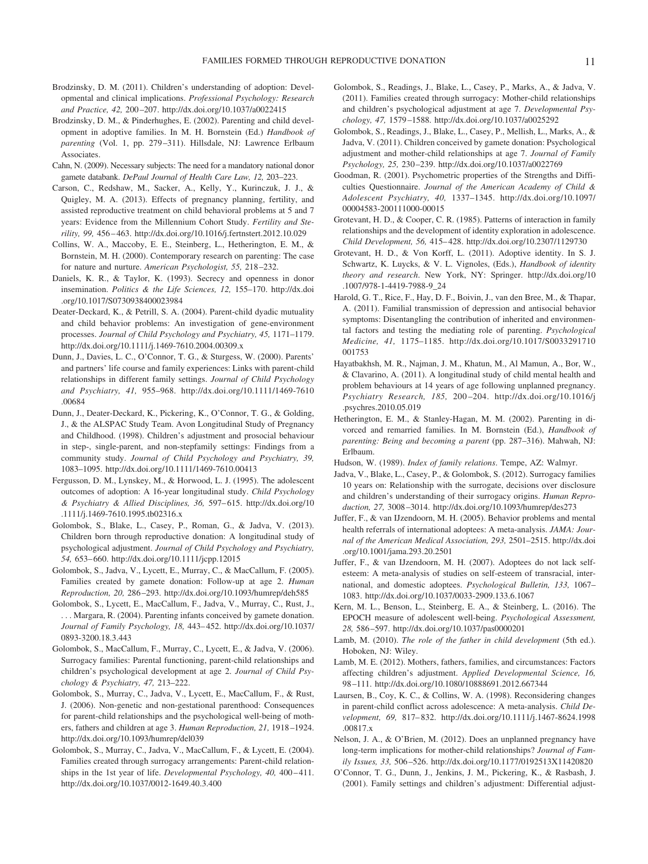- Brodzinsky, D. M. (2011). Children's understanding of adoption: Developmental and clinical implications. *Professional Psychology: Research and Practice, 42,* 200 –207.<http://dx.doi.org/10.1037/a0022415>
- Brodzinsky, D. M., & Pinderhughes, E. (2002). Parenting and child development in adoptive families. In M. H. Bornstein (Ed.) *Handbook of parenting* (Vol. 1, pp. 279 –311). Hillsdale, NJ: Lawrence Erlbaum Associates.
- <span id="page-11-0"></span>Cahn, N. (2009). Necessary subjects: The need for a mandatory national donor gamete databank. *DePaul Journal of Health Care Law, 12,* 203–223.
- Carson, C., Redshaw, M., Sacker, A., Kelly, Y., Kurinczuk, J. J., & Quigley, M. A. (2013). Effects of pregnancy planning, fertility, and assisted reproductive treatment on child behavioral problems at 5 and 7 years: Evidence from the Millennium Cohort Study. *Fertility and Sterility, 99,* 456 – 463.<http://dx.doi.org/10.1016/j.fertnstert.2012.10.029>
- Collins, W. A., Maccoby, E. E., Steinberg, L., Hetherington, E. M., & Bornstein, M. H. (2000). Contemporary research on parenting: The case for nature and nurture. *American Psychologist, 55,* 218 –232.
- Daniels, K. R., & Taylor, K. (1993). Secrecy and openness in donor insemination. *Politics & the Life Sciences, 12,* 155–170. [http://dx.doi](http://dx.doi.org/10.1017/S0730938400023984) [.org/10.1017/S0730938400023984](http://dx.doi.org/10.1017/S0730938400023984)
- Deater-Deckard, K., & Petrill, S. A. (2004). Parent-child dyadic mutuality and child behavior problems: An investigation of gene-environment processes. *Journal of Child Psychology and Psychiatry, 45,* 1171–1179. <http://dx.doi.org/10.1111/j.1469-7610.2004.00309.x>
- Dunn, J., Davies, L. C., O'Connor, T. G., & Sturgess, W. (2000). Parents' and partners' life course and family experiences: Links with parent-child relationships in different family settings. *Journal of Child Psychology and Psychiatry, 41,* 955–968. [http://dx.doi.org/10.1111/1469-7610](http://dx.doi.org/10.1111/1469-7610.00684) [.00684](http://dx.doi.org/10.1111/1469-7610.00684)
- Dunn, J., Deater-Deckard, K., Pickering, K., O'Connor, T. G., & Golding, J., & the ALSPAC Study Team. Avon Longitudinal Study of Pregnancy and Childhood. (1998). Children's adjustment and prosocial behaviour in step-, single-parent, and non-stepfamily settings: Findings from a community study. *Journal of Child Psychology and Psychiatry, 39,* 1083–1095.<http://dx.doi.org/10.1111/1469-7610.00413>
- Fergusson, D. M., Lynskey, M., & Horwood, L. J. (1995). The adolescent outcomes of adoption: A 16-year longitudinal study. *Child Psychology & Psychiatry & Allied Disciplines, 36,* 597– 615. [http://dx.doi.org/10](http://dx.doi.org/10.1111/j.1469-7610.1995.tb02316.x) [.1111/j.1469-7610.1995.tb02316.x](http://dx.doi.org/10.1111/j.1469-7610.1995.tb02316.x)
- Golombok, S., Blake, L., Casey, P., Roman, G., & Jadva, V. (2013). Children born through reproductive donation: A longitudinal study of psychological adjustment. *Journal of Child Psychology and Psychiatry, 54,* 653– 660.<http://dx.doi.org/10.1111/jcpp.12015>
- Golombok, S., Jadva, V., Lycett, E., Murray, C., & MacCallum, F. (2005). Families created by gamete donation: Follow-up at age 2. *Human Reproduction, 20,* 286 –293.<http://dx.doi.org/10.1093/humrep/deh585>
- Golombok, S., Lycett, E., MacCallum, F., Jadva, V., Murray, C., Rust, J., . . . Margara, R. (2004). Parenting infants conceived by gamete donation. *Journal of Family Psychology, 18,* 443– 452. [http://dx.doi.org/10.1037/](http://dx.doi.org/10.1037/0893-3200.18.3.443) [0893-3200.18.3.443](http://dx.doi.org/10.1037/0893-3200.18.3.443)
- Golombok, S., MacCallum, F., Murray, C., Lycett, E., & Jadva, V. (2006). Surrogacy families: Parental functioning, parent-child relationships and children's psychological development at age 2. *Journal of Child Psychology & Psychiatry, 47,* 213–222.
- Golombok, S., Murray, C., Jadva, V., Lycett, E., MacCallum, F., & Rust, J. (2006). Non-genetic and non-gestational parenthood: Consequences for parent-child relationships and the psychological well-being of mothers, fathers and children at age 3. *Human Reproduction, 21,* 1918 –1924. <http://dx.doi.org/10.1093/humrep/del039>
- Golombok, S., Murray, C., Jadva, V., MacCallum, F., & Lycett, E. (2004). Families created through surrogacy arrangements: Parent-child relationships in the 1st year of life. *Developmental Psychology, 40, 400-411*. <http://dx.doi.org/10.1037/0012-1649.40.3.400>
- Golombok, S., Readings, J., Blake, L., Casey, P., Marks, A., & Jadva, V. (2011). Families created through surrogacy: Mother-child relationships and children's psychological adjustment at age 7. *Developmental Psychology, 47,* 1579 –1588.<http://dx.doi.org/10.1037/a0025292>
- Golombok, S., Readings, J., Blake, L., Casey, P., Mellish, L., Marks, A., & Jadva, V. (2011). Children conceived by gamete donation: Psychological adjustment and mother-child relationships at age 7. *Journal of Family Psychology, 25,* 230 –239.<http://dx.doi.org/10.1037/a0022769>
- Goodman, R. (2001). Psychometric properties of the Strengths and Difficulties Questionnaire. *Journal of the American Academy of Child & Adolescent Psychiatry, 40,* 1337–1345. [http://dx.doi.org/10.1097/](http://dx.doi.org/10.1097/00004583-200111000-00015) [00004583-200111000-00015](http://dx.doi.org/10.1097/00004583-200111000-00015)
- Grotevant, H. D., & Cooper, C. R. (1985). Patterns of interaction in family relationships and the development of identity exploration in adolescence. *Child Development, 56,* 415– 428.<http://dx.doi.org/10.2307/1129730>
- Grotevant, H. D., & Von Korff, L. (2011). Adoptive identity. In S. J. Schwartz, K. Luycks, & V. L. Vignoles, (Eds.), *Handbook of identity theory and research*. New York, NY: Springer. [http://dx.doi.org/10](http://dx.doi.org/10.1007/978-1-4419-7988-9_24) [.1007/978-1-4419-7988-9\\_24](http://dx.doi.org/10.1007/978-1-4419-7988-9_24)
- Harold, G. T., Rice, F., Hay, D. F., Boivin, J., van den Bree, M., & Thapar, A. (2011). Familial transmission of depression and antisocial behavior symptoms: Disentangling the contribution of inherited and environmental factors and testing the mediating role of parenting. *Psychological Medicine, 41,* 1175–1185. [http://dx.doi.org/10.1017/S0033291710](http://dx.doi.org/10.1017/S0033291710001753) [001753](http://dx.doi.org/10.1017/S0033291710001753)
- Hayatbakhsh, M. R., Najman, J. M., Khatun, M., Al Mamun, A., Bor, W., & Clavarino, A. (2011). A longitudinal study of child mental health and problem behaviours at 14 years of age following unplanned pregnancy. *Psychiatry Research, 185,* 200 –204. [http://dx.doi.org/10.1016/j](http://dx.doi.org/10.1016/j.psychres.2010.05.019) [.psychres.2010.05.019](http://dx.doi.org/10.1016/j.psychres.2010.05.019)
- Hetherington, E. M., & Stanley-Hagan, M. M. (2002). Parenting in divorced and remarried families. In M. Bornstein (Ed.), *Handbook of parenting: Being and becoming a parent* (pp. 287–316). Mahwah, NJ: Erlbaum.
- Hudson, W. (1989). *Index of family relations*. Tempe, AZ: Walmyr.
- Jadva, V., Blake, L., Casey, P., & Golombok, S. (2012). Surrogacy families 10 years on: Relationship with the surrogate, decisions over disclosure and children's understanding of their surrogacy origins. *Human Reproduction, 27,* 3008 –3014.<http://dx.doi.org/10.1093/humrep/des273>
- Juffer, F., & van IJzendoorn, M. H. (2005). Behavior problems and mental health referrals of international adoptees: A meta-analysis. *JAMA: Journal of the American Medical Association, 293,* 2501–2515. [http://dx.doi](http://dx.doi.org/10.1001/jama.293.20.2501) [.org/10.1001/jama.293.20.2501](http://dx.doi.org/10.1001/jama.293.20.2501)
- Juffer, F., & van IJzendoorn, M. H. (2007). Adoptees do not lack selfesteem: A meta-analysis of studies on self-esteem of transracial, international, and domestic adoptees. *Psychological Bulletin, 133,* 1067– 1083.<http://dx.doi.org/10.1037/0033-2909.133.6.1067>
- Kern, M. L., Benson, L., Steinberg, E. A., & Steinberg, L. (2016). The EPOCH measure of adolescent well-being. *Psychological Assessment, 28,* 586 –597.<http://dx.doi.org/10.1037/pas0000201>
- Lamb, M. (2010). *The role of the father in child development* (5th ed.). Hoboken, NJ: Wiley.
- Lamb, M. E. (2012). Mothers, fathers, families, and circumstances: Factors affecting children's adjustment. *Applied Developmental Science, 16,* 98 –111.<http://dx.doi.org/10.1080/10888691.2012.667344>
- Laursen, B., Coy, K. C., & Collins, W. A. (1998). Reconsidering changes in parent-child conflict across adolescence: A meta-analysis. *Child Development, 69,* 817– 832. [http://dx.doi.org/10.1111/j.1467-8624.1998](http://dx.doi.org/10.1111/j.1467-8624.1998.00817.x) [.00817.x](http://dx.doi.org/10.1111/j.1467-8624.1998.00817.x)
- Nelson, J. A., & O'Brien, M. (2012). Does an unplanned pregnancy have long-term implications for mother-child relationships? *Journal of Family Issues, 33,* 506 –526.<http://dx.doi.org/10.1177/0192513X11420820>
- O'Connor, T. G., Dunn, J., Jenkins, J. M., Pickering, K., & Rasbash, J. (2001). Family settings and children's adjustment: Differential adjust-